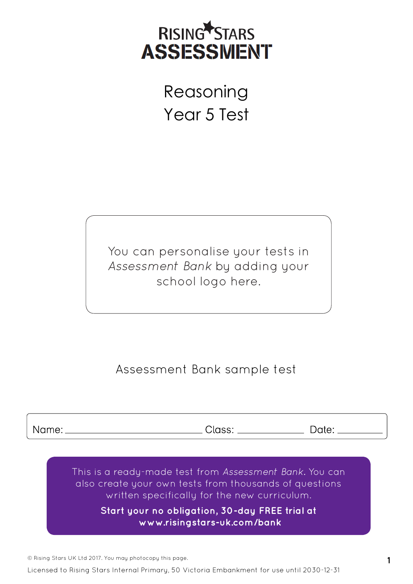

 Reasoning Year 5 Test

You can personalise your tests in *Assessment Bank* by adding your school logo here.

## Assessment Bank sample test

Name:

Class:

Date:

This is a ready-made test from *Assessment Bank.* You can also create your own tests from thousands of questions written specifically for the new curriculum.

> **Start your no obligation, 30-day FREE trial at  [www.risingstars-uk.com/bank](http://www.risingstars-uk.com/bank)**

© Rising Stars UK Ltd 2017. You may photocopy this page. **1**

Licensed to Rising Stars Internal Primary, 50 Victoria Embankment for use until 2030-12-31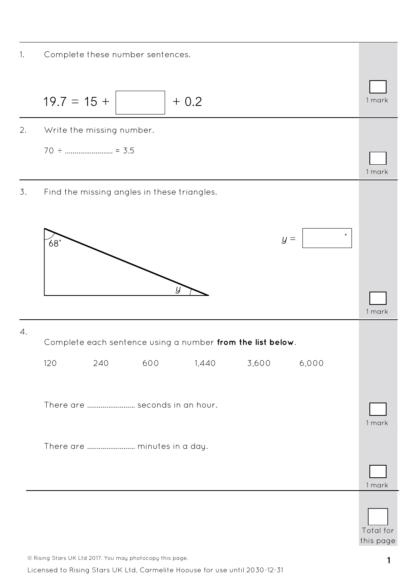1. Complete these number sentences.



© Rising Stars UK Ltd 2017. You may photocopy this page. **1**

Licensed to Rising Stars UK Ltd, Carmelite Hoouse for use until 2030-12-31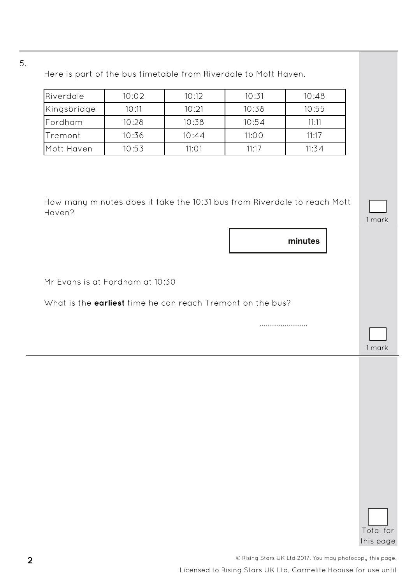5.

| Riverdale                                                                                            | 10:02 | 10:12 | 10:31 | 10:48                                                                               |        |
|------------------------------------------------------------------------------------------------------|-------|-------|-------|-------------------------------------------------------------------------------------|--------|
| Kingsbridge                                                                                          | 10:11 | 10:21 | 10:38 | 10:55                                                                               |        |
| Fordham                                                                                              | 10:28 | 10:38 | 10:54 | 11:11                                                                               |        |
| Tremont                                                                                              | 10:36 | 10:44 | 11:00 | 11:17                                                                               |        |
| Mott Haven                                                                                           | 10:53 | 11:01 | 11:17 | 11:34                                                                               |        |
| Haven?                                                                                               |       |       |       | How many minutes does it take the 10:31 bus from Riverdale to reach Mott<br>minutes | 1 mark |
|                                                                                                      |       |       |       |                                                                                     |        |
|                                                                                                      |       |       |       |                                                                                     |        |
|                                                                                                      |       |       |       |                                                                                     |        |
|                                                                                                      |       |       |       |                                                                                     |        |
| Mr Evans is at Fordham at 10:30<br>What is the <b>earliest</b> time he can reach Tremont on the bus? |       |       |       |                                                                                     |        |
|                                                                                                      |       |       |       |                                                                                     |        |
|                                                                                                      |       |       |       |                                                                                     | 1 mark |
|                                                                                                      |       |       |       |                                                                                     |        |
|                                                                                                      |       |       |       |                                                                                     |        |
|                                                                                                      |       |       |       |                                                                                     |        |
|                                                                                                      |       |       |       |                                                                                     |        |
|                                                                                                      |       |       |       |                                                                                     |        |
|                                                                                                      |       |       |       |                                                                                     |        |
|                                                                                                      |       |       |       |                                                                                     |        |
|                                                                                                      |       |       |       |                                                                                     |        |
|                                                                                                      |       |       |       |                                                                                     |        |
|                                                                                                      |       |       |       |                                                                                     |        |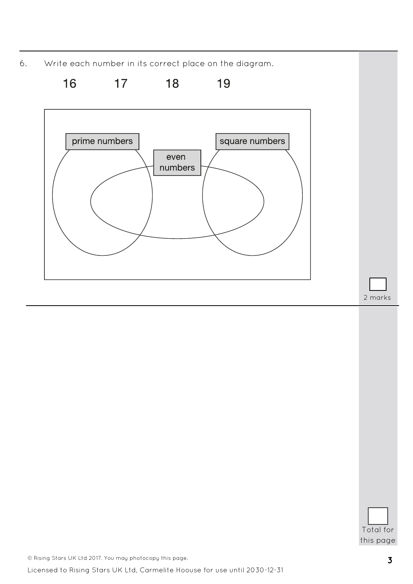6. Write each number in its correct place on the diagram.



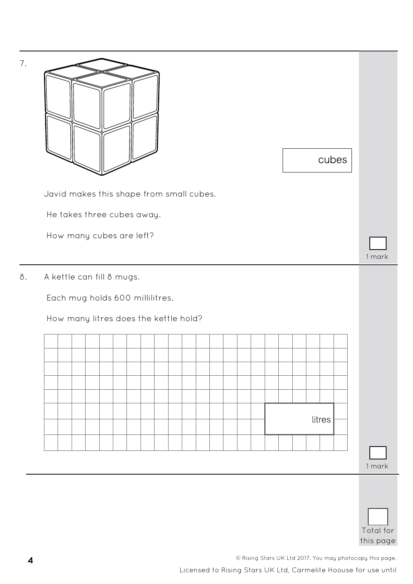

| Total for |
|-----------|
| this page |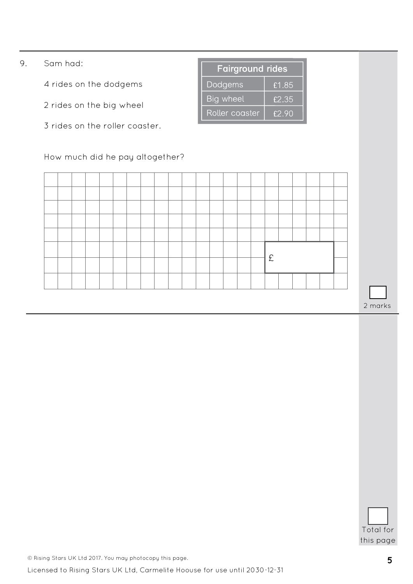- 9. Sam had:
	- 4 rides on the dodgems
	- 2 rides on the big wheel
	- 3 rides on the roller coaster.

#### How much did he pay altogether?

|  |  |  |  |  |  |  |  | £ |  |  |  |
|--|--|--|--|--|--|--|--|---|--|--|--|
|  |  |  |  |  |  |  |  |   |  |  |  |
|  |  |  |  |  |  |  |  |   |  |  |  |

**Fairground rides** 

£1.85

£2.35

£2.90

Dodgems

**Big wheel** 

Roller coaster

2 marks

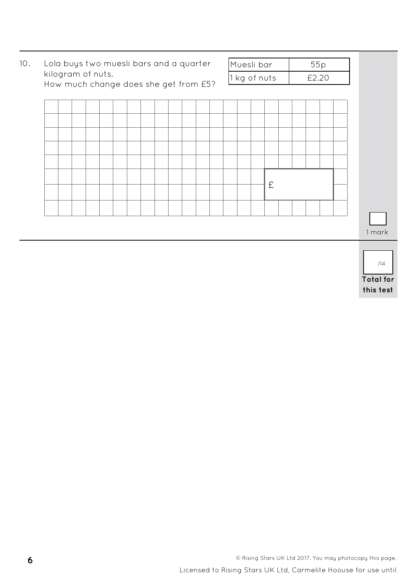

| <b>Total for</b> |  |  |
|------------------|--|--|
| this test        |  |  |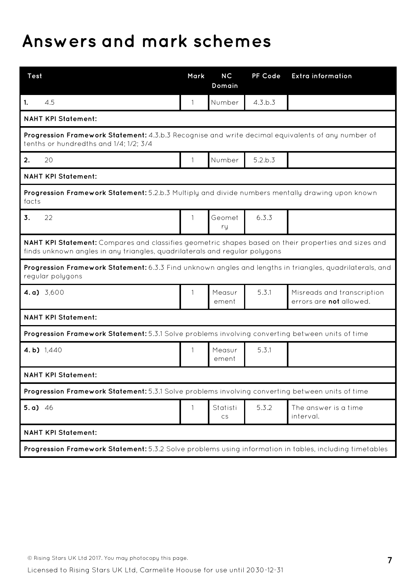# **Answers and mark schemes**

| <b>Test</b>                                                                                                                                                                        | Mark         | NC<br>Domain    | PF Code | <b>Extra information</b>                                     |  |  |  |  |  |
|------------------------------------------------------------------------------------------------------------------------------------------------------------------------------------|--------------|-----------------|---------|--------------------------------------------------------------|--|--|--|--|--|
| 4.5<br>1.                                                                                                                                                                          | 1            | Number          | 4.3.b.3 |                                                              |  |  |  |  |  |
| <b>NAHT KPI Statement:</b>                                                                                                                                                         |              |                 |         |                                                              |  |  |  |  |  |
| Progression Framework Statement: 4.3.b.3 Recognise and write decimal equivalents of any number of<br>tenths or hundredths and 1/4; 1/2; 3/4                                        |              |                 |         |                                                              |  |  |  |  |  |
| 20<br>2.                                                                                                                                                                           | $\mathbf{1}$ | Number          | 5.2.b.3 |                                                              |  |  |  |  |  |
| <b>NAHT KPI Statement:</b>                                                                                                                                                         |              |                 |         |                                                              |  |  |  |  |  |
| Progression Framework Statement: 5.2.b.3 Multiply and divide numbers mentally drawing upon known<br>facts                                                                          |              |                 |         |                                                              |  |  |  |  |  |
| 22<br>3.                                                                                                                                                                           | $\mathbf{1}$ | Geomet<br>ry    | 6.3.3   |                                                              |  |  |  |  |  |
| NAHT KPI Statement: Compares and classifies geometric shapes based on their properties and sizes and<br>finds unknown angles in any triangles, quadrilaterals and regular polygons |              |                 |         |                                                              |  |  |  |  |  |
| Progression Framework Statement: 6.3.3 Find unknown angles and lengths in triangles, quadrilaterals, and<br>regular polygons                                                       |              |                 |         |                                                              |  |  |  |  |  |
| 4. a) $3,600$                                                                                                                                                                      | 1            | Measur<br>ement | 5.3.1   | Misreads and transcription<br>errors are <b>not</b> allowed. |  |  |  |  |  |
| <b>NAHT KPI Statement:</b>                                                                                                                                                         |              |                 |         |                                                              |  |  |  |  |  |
| Progression Framework Statement: 5.3.1 Solve problems involving converting between units of time                                                                                   |              |                 |         |                                                              |  |  |  |  |  |
| 4.b) 1,440                                                                                                                                                                         | $\mathbf{1}$ | Measur<br>ement | 5.3.1   |                                                              |  |  |  |  |  |
| <b>NAHT KPI Statement:</b>                                                                                                                                                         |              |                 |         |                                                              |  |  |  |  |  |
| Progression Framework Statement: 5.3.1 Solve problems involving converting between units of time                                                                                   |              |                 |         |                                                              |  |  |  |  |  |
| 5.a) $46$                                                                                                                                                                          | $\mathbf{1}$ | Statisti<br>CS  | 5.3.2   | The answer is a time<br>interval.                            |  |  |  |  |  |
| <b>NAHT KPI Statement:</b>                                                                                                                                                         |              |                 |         |                                                              |  |  |  |  |  |
| Progression Framework Statement: 5.3.2 Solve problems using information in tables, including timetables                                                                            |              |                 |         |                                                              |  |  |  |  |  |

© Rising Stars UK Ltd 2017. You may photocopy this page. **7**

Licensed to Rising Stars UK Ltd, Carmelite Hoouse for use until 2030-12-31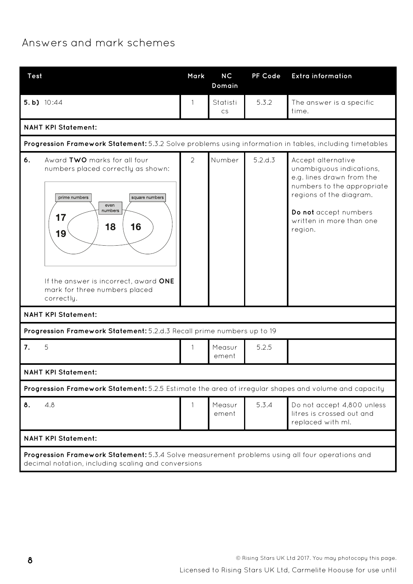### Answers and mark schemes

| <b>Test</b>                                                                                                                                                                                                                                    | Mark           | <b>NC</b><br>Domain | PF Code | <b>Extra information</b>                                                                                                                                                                             |  |  |  |  |  |  |
|------------------------------------------------------------------------------------------------------------------------------------------------------------------------------------------------------------------------------------------------|----------------|---------------------|---------|------------------------------------------------------------------------------------------------------------------------------------------------------------------------------------------------------|--|--|--|--|--|--|
| 5.b) 10:44                                                                                                                                                                                                                                     | 1              | Statisti<br>CS      | 5.3.2   | The answer is a specific<br>time.                                                                                                                                                                    |  |  |  |  |  |  |
| <b>NAHT KPI Statement:</b>                                                                                                                                                                                                                     |                |                     |         |                                                                                                                                                                                                      |  |  |  |  |  |  |
| Progression Framework Statement: 5.3.2 Solve problems using information in tables, including timetables                                                                                                                                        |                |                     |         |                                                                                                                                                                                                      |  |  |  |  |  |  |
| 6.<br>Award TWO marks for all four<br>numbers placed correctly as shown:<br>prime numbers<br>square numbers<br>even<br>numbers<br>17<br>16<br>18<br>19<br>If the answer is incorrect, award ONE<br>mark for three numbers placed<br>correctly. | $\overline{2}$ | Number              | 5.2.d.3 | Accept alternative<br>unambiguous indications,<br>e.g. lines drawn from the<br>numbers to the appropriate<br>regions of the diagram.<br>Do not accept numbers<br>written in more than one<br>region. |  |  |  |  |  |  |
| <b>NAHT KPI Statement:</b>                                                                                                                                                                                                                     |                |                     |         |                                                                                                                                                                                                      |  |  |  |  |  |  |
| Progression Framework Statement: 5.2.d.3 Recall prime numbers up to 19                                                                                                                                                                         |                |                     |         |                                                                                                                                                                                                      |  |  |  |  |  |  |
| 7.<br>5                                                                                                                                                                                                                                        | 1              | Measur<br>ement     | 5.2.5   |                                                                                                                                                                                                      |  |  |  |  |  |  |
| <b>NAHT KPI Statement:</b>                                                                                                                                                                                                                     |                |                     |         |                                                                                                                                                                                                      |  |  |  |  |  |  |
| Progression Framework Statement: 5.2.5 Estimate the area of irregular shapes and volume and capacity                                                                                                                                           |                |                     |         |                                                                                                                                                                                                      |  |  |  |  |  |  |
| 8.<br>4.8                                                                                                                                                                                                                                      |                | Measur<br>ement     | 5.3.4   | Do not accept 4,800 unless<br>litres is crossed out and<br>replaced with ml.                                                                                                                         |  |  |  |  |  |  |
| <b>NAHT KPI Statement:</b>                                                                                                                                                                                                                     |                |                     |         |                                                                                                                                                                                                      |  |  |  |  |  |  |
| Progression Framework Statement: 5.3.4 Solve measurement problems using all four operations and<br>decimal notation, including scaling and conversions                                                                                         |                |                     |         |                                                                                                                                                                                                      |  |  |  |  |  |  |